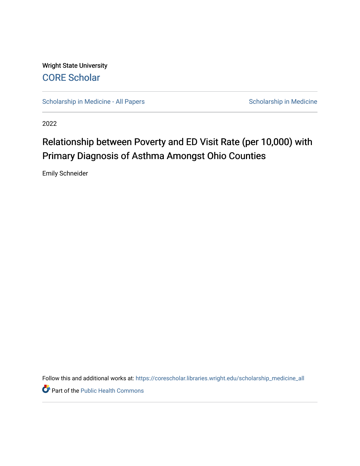Wright State University [CORE Scholar](https://corescholar.libraries.wright.edu/)

[Scholarship in Medicine - All Papers](https://corescholar.libraries.wright.edu/scholarship_medicine_all) Scholarship in Medicine

2022

## Relationship between Poverty and ED Visit Rate (per 10,000) with Primary Diagnosis of Asthma Amongst Ohio Counties

Emily Schneider

Follow this and additional works at: [https://corescholar.libraries.wright.edu/scholarship\\_medicine\\_all](https://corescholar.libraries.wright.edu/scholarship_medicine_all?utm_source=corescholar.libraries.wright.edu%2Fscholarship_medicine_all%2F95&utm_medium=PDF&utm_campaign=PDFCoverPages) 

Part of the [Public Health Commons](https://network.bepress.com/hgg/discipline/738?utm_source=corescholar.libraries.wright.edu%2Fscholarship_medicine_all%2F95&utm_medium=PDF&utm_campaign=PDFCoverPages)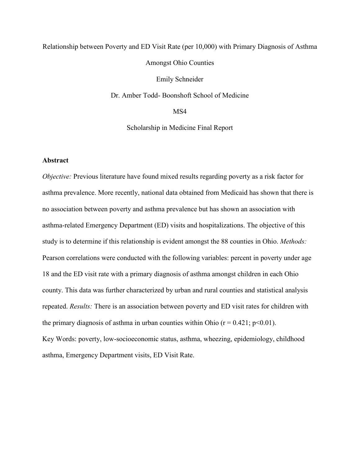# Relationship between Poverty and ED Visit Rate (per 10,000) with Primary Diagnosis of Asthma Amongst Ohio Counties Emily Schneider Dr. Amber Todd- Boonshoft School of Medicine MS4

Scholarship in Medicine Final Report

#### **Abstract**

*Objective:* Previous literature have found mixed results regarding poverty as a risk factor for asthma prevalence. More recently, national data obtained from Medicaid has shown that there is no association between poverty and asthma prevalence but has shown an association with asthma-related Emergency Department (ED) visits and hospitalizations. The objective of this study is to determine if this relationship is evident amongst the 88 counties in Ohio. *Methods:* Pearson correlations were conducted with the following variables: percent in poverty under age 18 and the ED visit rate with a primary diagnosis of asthma amongst children in each Ohio county. This data was further characterized by urban and rural counties and statistical analysis repeated. *Results:* There is an association between poverty and ED visit rates for children with the primary diagnosis of asthma in urban counties within Ohio ( $r = 0.421$ ;  $p \le 0.01$ ). Key Words: poverty, low-socioeconomic status, asthma, wheezing, epidemiology, childhood asthma, Emergency Department visits, ED Visit Rate.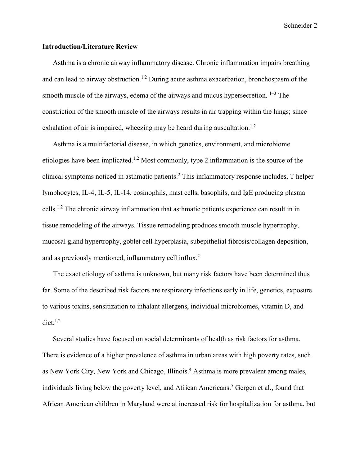## **Introduction/Literature Review**

Asthma is a chronic airway inflammatory disease. Chronic inflammation impairs breathing and can lead to airway obstruction.<sup>1,2</sup> During acute asthma exacerbation, bronchospasm of the smooth muscle of the airways, edema of the airways and mucus hypersecretion.  $1-3$  The constriction of the smooth muscle of the airways results in air trapping within the lungs; since exhalation of air is impaired, wheezing may be heard during auscultation.<sup>1,2</sup>

Asthma is a multifactorial disease, in which genetics, environment, and microbiome etiologies have been implicated.<sup>1,2</sup> Most commonly, type 2 inflammation is the source of the clinical symptoms noticed in asthmatic patients. <sup>2</sup> This inflammatory response includes, T helper lymphocytes, IL-4, IL-5, IL-14, eosinophils, mast cells, basophils, and IgE producing plasma cells.<sup>1,2</sup> The chronic airway inflammation that asthmatic patients experience can result in in tissue remodeling of the airways. Tissue remodeling produces smooth muscle hypertrophy, mucosal gland hypertrophy, goblet cell hyperplasia, subepithelial fibrosis/collagen deposition, and as previously mentioned, inflammatory cell influx.<sup>2</sup>

The exact etiology of asthma is unknown, but many risk factors have been determined thus far. Some of the described risk factors are respiratory infections early in life, genetics, exposure to various toxins, sensitization to inhalant allergens, individual microbiomes, vitamin D, and diet. $1,2$ 

Several studies have focused on social determinants of health as risk factors for asthma. There is evidence of a higher prevalence of asthma in urban areas with high poverty rates, such as New York City, New York and Chicago, Illinois. <sup>4</sup> Asthma is more prevalent among males, individuals living below the poverty level, and African Americans. <sup>5</sup> Gergen et al., found that African American children in Maryland were at increased risk for hospitalization for asthma, but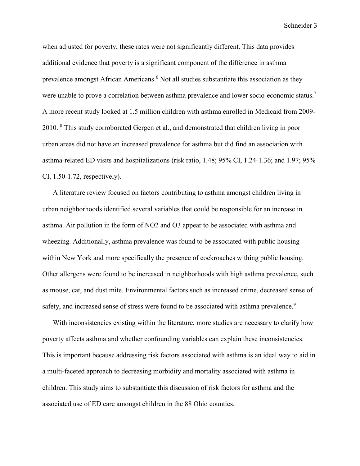when adjusted for poverty, these rates were not significantly different. This data provides additional evidence that poverty is a significant component of the difference in asthma prevalence amongst African Americans. <sup>6</sup> Not all studies substantiate this association as they were unable to prove a correlation between asthma prevalence and lower socio-economic status.<sup>7</sup> A more recent study looked at 1.5 million children with asthma enrolled in Medicaid from 2009- 2010. <sup>8</sup> This study corroborated Gergen et al., and demonstrated that children living in poor urban areas did not have an increased prevalence for asthma but did find an association with asthma-related ED visits and hospitalizations (risk ratio, 1.48; 95% CI, 1.24-1.36; and 1.97; 95% CI, 1.50-1.72, respectively).

A literature review focused on factors contributing to asthma amongst children living in urban neighborhoods identified several variables that could be responsible for an increase in asthma. Air pollution in the form of NO2 and O3 appear to be associated with asthma and wheezing. Additionally, asthma prevalence was found to be associated with public housing within New York and more specifically the presence of cockroaches withing public housing. Other allergens were found to be increased in neighborhoods with high asthma prevalence, such as mouse, cat, and dust mite. Environmental factors such as increased crime, decreased sense of safety, and increased sense of stress were found to be associated with asthma prevalence.<sup>9</sup>

With inconsistencies existing within the literature, more studies are necessary to clarify how poverty affects asthma and whether confounding variables can explain these inconsistencies. This is important because addressing risk factors associated with asthma is an ideal way to aid in a multi-faceted approach to decreasing morbidity and mortality associated with asthma in children. This study aims to substantiate this discussion of risk factors for asthma and the associated use of ED care amongst children in the 88 Ohio counties.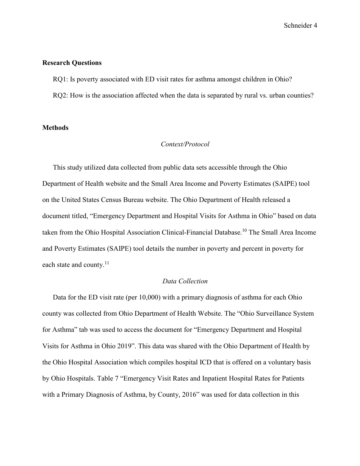## **Research Questions**

RQ1: Is poverty associated with ED visit rates for asthma amongst children in Ohio?

RO2: How is the association affected when the data is separated by rural vs. urban counties?

#### **Methods**

#### *Context/Protocol*

This study utilized data collected from public data sets accessible through the Ohio Department of Health website and the Small Area Income and Poverty Estimates (SAIPE) tool on the United States Census Bureau website. The Ohio Department of Health released a document titled, "Emergency Department and Hospital Visits for Asthma in Ohio" based on data taken from the Ohio Hospital Association Clinical-Financial Database.<sup>10</sup> The Small Area Income and Poverty Estimates (SAIPE) tool details the number in poverty and percent in poverty for each state and county.<sup>11</sup>

#### *Data Collection*

Data for the ED visit rate (per 10,000) with a primary diagnosis of asthma for each Ohio county was collected from Ohio Department of Health Website. The "Ohio Surveillance System for Asthma" tab was used to access the document for "Emergency Department and Hospital Visits for Asthma in Ohio 2019". This data was shared with the Ohio Department of Health by the Ohio Hospital Association which compiles hospital ICD that is offered on a voluntary basis by Ohio Hospitals. Table 7 "Emergency Visit Rates and Inpatient Hospital Rates for Patients with a Primary Diagnosis of Asthma, by County, 2016" was used for data collection in this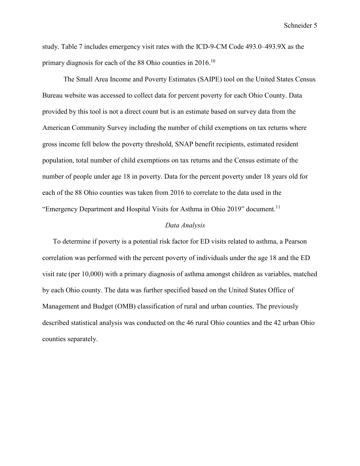study. Table 7 includes emergency visit rates with the ICD-9-CM Code 493.0–493.9X as the primary diagnosis for each of the 88 Ohio counties in 2016.<sup>10</sup>

The Small Area Income and Poverty Estimates (SAIPE) tool on the United States Census Bureau website was accessed to collect data for percent poverty for each Ohio County. Data provided by this tool is not a direct count but is an estimate based on survey data from the American Community Survey including the number of child exemptions on tax returns where gross income fell below the poverty threshold, SNAP benefit recipients, estimated resident population, total number of child exemptions on tax returns and the Census estimate of the number of people under age 18 in poverty. Data for the percent poverty under 18 years old for each of the 88 Ohio counties was taken from 2016 to correlate to the data used in the "Emergency Department and Hospital Visits for Asthma in Ohio 2019" document.<sup>11</sup>

#### *Data Analysis*

To determine if poverty is a potential risk factor for ED visits related to asthma, a Pearson correlation was performed with the percent poverty of individuals under the age 18 and the ED visit rate (per 10,000) with a primary diagnosis of asthma amongst children as variables, matched by each Ohio county. The data was further specified based on the United States Office of Management and Budget (OMB) classification of rural and urban counties. The previously described statistical analysis was conducted on the 46 rural Ohio counties and the 42 urban Ohio counties separately.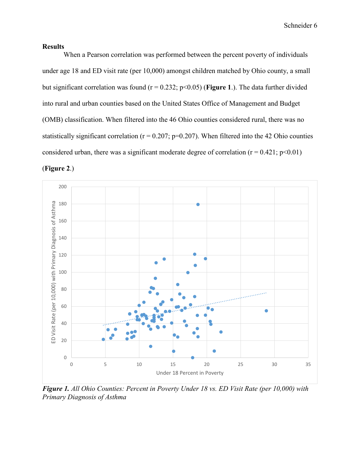#### **Results**

When a Pearson correlation was performed between the percent poverty of individuals under age 18 and ED visit rate (per 10,000) amongst children matched by Ohio county, a small but significant correlation was found ( $r = 0.232$ ;  $p < 0.05$ ) (**Figure 1**.). The data further divided into rural and urban counties based on the United States Office of Management and Budget (OMB) classification. When filtered into the 46 Ohio counties considered rural, there was no statistically significant correlation ( $r = 0.207$ ;  $p=0.207$ ). When filtered into the 42 Ohio counties considered urban, there was a significant moderate degree of correlation  $(r = 0.421; p < 0.01)$ 





*Figure 1. All Ohio Counties: Percent in Poverty Under 18 vs. ED Visit Rate (per 10,000) with Primary Diagnosis of Asthma*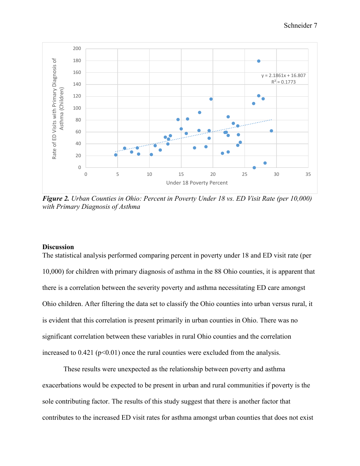

*Figure 2. Urban Counties in Ohio: Percent in Poverty Under 18 vs. ED Visit Rate (per 10,000) with Primary Diagnosis of Asthma*

#### **Discussion**

The statistical analysis performed comparing percent in poverty under 18 and ED visit rate (per 10,000) for children with primary diagnosis of asthma in the 88 Ohio counties, it is apparent that there is a correlation between the severity poverty and asthma necessitating ED care amongst Ohio children. After filtering the data set to classify the Ohio counties into urban versus rural, it is evident that this correlation is present primarily in urban counties in Ohio. There was no significant correlation between these variables in rural Ohio counties and the correlation increased to  $0.421$  ( $p<0.01$ ) once the rural counties were excluded from the analysis.

These results were unexpected as the relationship between poverty and asthma exacerbations would be expected to be present in urban and rural communities if poverty is the sole contributing factor. The results of this study suggest that there is another factor that contributes to the increased ED visit rates for asthma amongst urban counties that does not exist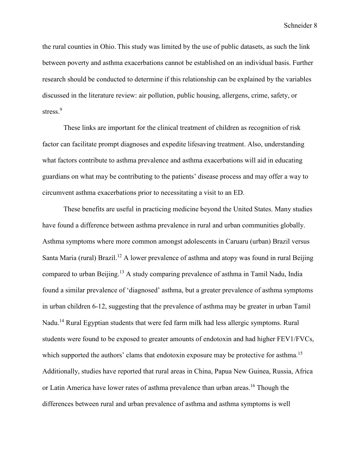the rural counties in Ohio. This study was limited by the use of public datasets, as such the link between poverty and asthma exacerbations cannot be established on an individual basis. Further research should be conducted to determine if this relationship can be explained by the variables discussed in the literature review: air pollution, public housing, allergens, crime, safety, or stress.<sup>9</sup>

These links are important for the clinical treatment of children as recognition of risk factor can facilitate prompt diagnoses and expedite lifesaving treatment. Also, understanding what factors contribute to asthma prevalence and asthma exacerbations will aid in educating guardians on what may be contributing to the patients' disease process and may offer a way to circumvent asthma exacerbations prior to necessitating a visit to an ED.

These benefits are useful in practicing medicine beyond the United States. Many studies have found a difference between asthma prevalence in rural and urban communities globally. Asthma symptoms where more common amongst adolescents in Caruaru (urban) Brazil versus Santa Maria (rural) Brazil.<sup>12</sup> A lower prevalence of asthma and atopy was found in rural Beijing compared to urban Beijing.<sup>13</sup> A study comparing prevalence of asthma in Tamil Nadu, India found a similar prevalence of 'diagnosed' asthma, but a greater prevalence of asthma symptoms in urban children 6-12, suggesting that the prevalence of asthma may be greater in urban Tamil Nadu.14 Rural Egyptian students that were fed farm milk had less allergic symptoms. Rural students were found to be exposed to greater amounts of endotoxin and had higher FEV1/FVCs, which supported the authors' clams that endotoxin exposure may be protective for asthma.<sup>15</sup> Additionally, studies have reported that rural areas in China, Papua New Guinea, Russia, Africa or Latin America have lower rates of asthma prevalence than urban areas.16 Though the differences between rural and urban prevalence of asthma and asthma symptoms is well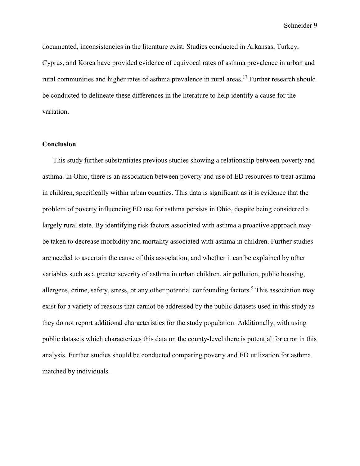documented, inconsistencies in the literature exist. Studies conducted in Arkansas, Turkey, Cyprus, and Korea have provided evidence of equivocal rates of asthma prevalence in urban and rural communities and higher rates of asthma prevalence in rural areas.<sup>17</sup> Further research should be conducted to delineate these differences in the literature to help identify a cause for the variation.

### **Conclusion**

This study further substantiates previous studies showing a relationship between poverty and asthma. In Ohio, there is an association between poverty and use of ED resources to treat asthma in children, specifically within urban counties. This data is significant as it is evidence that the problem of poverty influencing ED use for asthma persists in Ohio, despite being considered a largely rural state. By identifying risk factors associated with asthma a proactive approach may be taken to decrease morbidity and mortality associated with asthma in children. Further studies are needed to ascertain the cause of this association, and whether it can be explained by other variables such as a greater severity of asthma in urban children, air pollution, public housing, allergens, crime, safety, stress, or any other potential confounding factors.<sup>9</sup> This association may exist for a variety of reasons that cannot be addressed by the public datasets used in this study as they do not report additional characteristics for the study population. Additionally, with using public datasets which characterizes this data on the county-level there is potential for error in this analysis. Further studies should be conducted comparing poverty and ED utilization for asthma matched by individuals.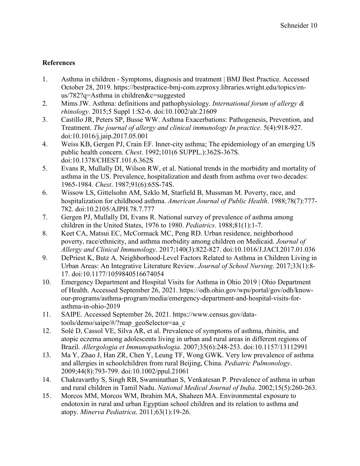## **References**

- 1. Asthma in children Symptoms, diagnosis and treatment | BMJ Best Practice. Accessed October 28, 2019. https://bestpractice-bmj-com.ezproxy.libraries.wright.edu/topics/enus/782?q=Asthma in children&c=suggested
- 2. Mims JW. Asthma: definitions and pathophysiology. *International forum of allergy & rhinology*. 2015;5 Suppl 1:S2-6. doi:10.1002/alr.21609
- 3. Castillo JR, Peters SP, Busse WW. Asthma Exacerbations: Pathogenesis, Prevention, and Treatment. *The journal of allergy and clinical immunology In practice*. 5(4):918-927. doi:10.1016/j.jaip.2017.05.001
- 4. Weiss KB, Gergen PJ, Crain EF. Inner-city asthma; The epidemiology of an emerging US public health concern. *Chest*. 1992;101(6 SUPPL.):362S-367S. doi:10.1378/CHEST.101.6.362S
- 5. Evans R, Mullally DI, Wilson RW, et al. National trends in the morbidity and mortality of asthma in the US. Prevalence, hospitalization and death from asthma over two decades: 1965-1984. *Chest*. 1987;91(6):65S-74S.
- 6. Wissow LS, Gittelsohn AM, Szklo M, Starfield B, Mussman M. Poverty, race, and hospitalization for childhood asthma. *American Journal of Public Health*. 1988;78(7):777- 782. doi:10.2105/AJPH.78.7.777
- 7. Gergen PJ, Mullally DI, Evans R. National survey of prevalence of asthma among children in the United States, 1976 to 1980. *Pediatrics*. 1988;81(1):1-7.
- 8. Keet CA, Matsui EC, McCormack MC, Peng RD. Urban residence, neighborhood poverty, race/ethnicity, and asthma morbidity among children on Medicaid. *Journal of Allergy and Clinical Immunology*. 2017;140(3):822-827. doi:10.1016/J.JACI.2017.01.036
- 9. DePriest K, Butz A. Neighborhood-Level Factors Related to Asthma in Children Living in Urban Areas: An Integrative Literature Review. *Journal of School Nursing*. 2017;33(1):8- 17. doi:10.1177/1059840516674054
- 10. Emergency Department and Hospital Visits for Asthma in Ohio 2019 | Ohio Department of Health. Accessed September 26, 2021. https://odh.ohio.gov/wps/portal/gov/odh/knowour-programs/asthma-program/media/emergency-department-and-hospital-visits-forasthma-in-ohio-2019
- 11. SAIPE. Accessed September 26, 2021. https://www.census.gov/datatools/demo/saipe/#/?map\_geoSelector=aa\_c
- 12. Solé D, Cassol VE, Silva AR, et al. Prevalence of symptoms of asthma, rhinitis, and atopic eczema among adolescents living in urban and rural areas in different regions of Brazil. *Allergologia et Immunopathologia*. 2007;35(6):248-253. doi:10.1157/13112991
- 13. Ma Y, Zhao J, Han ZR, Chen Y, Leung TF, Wong GWK. Very low prevalence of asthma and allergies in schoolchildren from rural Beijing, China. *Pediatric Pulmonology*. 2009;44(8):793-799. doi:10.1002/ppul.21061
- 14. Chakravarthy S, Singh RB, Swaminathan S, Venkatesan P. Prevalence of asthma in urban and rural children in Tamil Nadu. *National Medical Journal of India*. 2002;15(5):260-263.
- 15. Morcos MM, Morcos WM, Ibrahim MA, Shaheen MA. Environmental exposure to endotoxin in rural and urban Egyptian school children and its relation to asthma and atopy. *Minerva Pediatrica*. 2011;63(1):19-26.